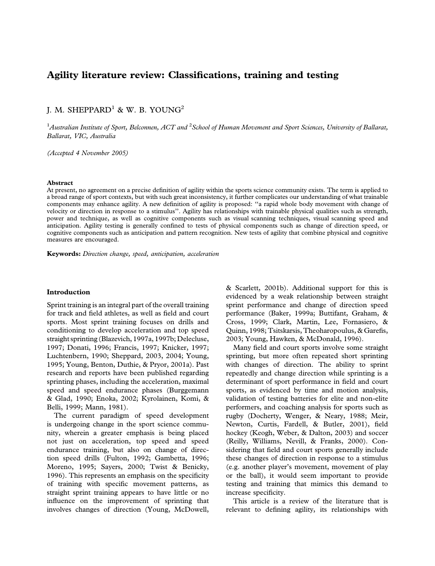# Agility literature review: Classifications, training and testing

# I. M. SHEPPARD<sup>1</sup> & W. B. YOUNG<sup>2</sup>

 $^1$ Australian Institute of Sport, Belconnen, ACT and  $^2$ School of Human Movement and Sport Sciences, University of Ballarat, Ballarat, VIC, Australia

(Accepted 4 November 2005)

#### Abstract

At present, no agreement on a precise definition of agility within the sports science community exists. The term is applied to a broad range of sport contexts, but with such great inconsistency, it further complicates our understanding of what trainable components may enhance agility. A new definition of agility is proposed: ''a rapid whole body movement with change of velocity or direction in response to a stimulus''. Agility has relationships with trainable physical qualities such as strength, power and technique, as well as cognitive components such as visual scanning techniques, visual scanning speed and anticipation. Agility testing is generally confined to tests of physical components such as change of direction speed, or cognitive components such as anticipation and pattern recognition. New tests of agility that combine physical and cognitive measures are encouraged.

Keywords: Direction change, speed, anticipation, acceleration

#### Introduction

Sprint training is an integral part of the overall training for track and field athletes, as well as field and court sports. Most sprint training focuses on drills and conditioning to develop acceleration and top speed straight sprinting (Blazevich, 1997a, 1997b; Delecluse, 1997; Donati, 1996; Francis, 1997; Knicker, 1997; Luchtenbern, 1990; Sheppard, 2003, 2004; Young, 1995; Young, Benton, Duthie, & Pryor, 2001a). Past research and reports have been published regarding sprinting phases, including the acceleration, maximal speed and speed endurance phases (Burggemann & Glad, 1990; Enoka, 2002; Kyrolainen, Komi, & Belli, 1999; Mann, 1981).

The current paradigm of speed development is undergoing change in the sport science community, wherein a greater emphasis is being placed not just on acceleration, top speed and speed endurance training, but also on change of direction speed drills (Fulton, 1992; Gambetta, 1996; Moreno, 1995; Sayers, 2000; Twist & Benicky, 1996). This represents an emphasis on the specificity of training with specific movement patterns, as straight sprint training appears to have little or no influence on the improvement of sprinting that involves changes of direction (Young, McDowell,

& Scarlett, 2001b). Additional support for this is evidenced by a weak relationship between straight sprint performance and change of direction speed performance (Baker, 1999a; Buttifant, Graham, & Cross, 1999; Clark, Martin, Lee, Fornasiero, & Quinn, 1998; Tsitskarsis, Theoharopoulus, & Garefis, 2003; Young, Hawken, & McDonald, 1996).

Many field and court sports involve some straight sprinting, but more often repeated short sprinting with changes of direction. The ability to sprint repeatedly and change direction while sprinting is a determinant of sport performance in field and court sports, as evidenced by time and motion analysis, validation of testing batteries for elite and non-elite performers, and coaching analysis for sports such as rugby (Docherty, Wenger, & Neary, 1988; Meir, Newton, Curtis, Fardell, & Butler, 2001), field hockey (Keogh, Weber, & Dalton, 2003) and soccer (Reilly, Williams, Nevill, & Franks, 2000). Considering that field and court sports generally include these changes of direction in response to a stimulus (e.g. another player's movement, movement of play or the ball), it would seem important to provide testing and training that mimics this demand to increase specificity.

This article is a review of the literature that is relevant to defining agility, its relationships with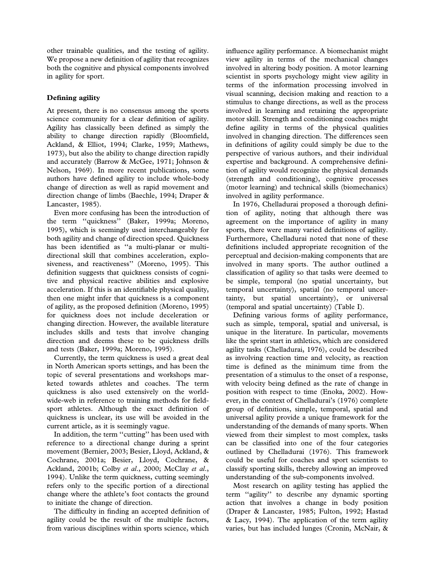other trainable qualities, and the testing of agility. We propose a new definition of agility that recognizes both the cognitive and physical components involved in agility for sport.

## Defining agility

At present, there is no consensus among the sports science community for a clear definition of agility. Agility has classically been defined as simply the ability to change direction rapidly (Bloomfield, Ackland, & Elliot, 1994; Clarke, 1959; Mathews, 1973), but also the ability to change direction rapidly and accurately (Barrow & McGee, 1971; Johnson & Nelson, 1969). In more recent publications, some authors have defined agility to include whole-body change of direction as well as rapid movement and direction change of limbs (Baechle, 1994; Draper & Lancaster, 1985).

Even more confusing has been the introduction of the term ''quickness'' (Baker, 1999a; Moreno, 1995), which is seemingly used interchangeably for both agility and change of direction speed. Quickness has been identified as ''a multi-planar or multidirectional skill that combines acceleration, explosiveness, and reactiveness'' (Moreno, 1995). This definition suggests that quickness consists of cognitive and physical reactive abilities and explosive acceleration. If this is an identifiable physical quality, then one might infer that quickness is a component of agility, as the proposed definition (Moreno, 1995) for quickness does not include deceleration or changing direction. However, the available literature includes skills and tests that involve changing direction and deems these to be quickness drills and tests (Baker, 1999a; Moreno, 1995).

Currently, the term quickness is used a great deal in North American sports settings, and has been the topic of several presentations and workshops marketed towards athletes and coaches. The term quickness is also used extensively on the worldwide-web in reference to training methods for fieldsport athletes. Although the exact definition of quickness is unclear, its use will be avoided in the current article, as it is seemingly vague.

In addition, the term ''cutting'' has been used with reference to a directional change during a sprint movement (Bernier, 2003; Besier, Lloyd, Ackland, & Cochrane, 2001a; Besier, Lloyd, Cochrane, & Ackland, 2001b; Colby et al., 2000; McClay et al., 1994). Unlike the term quickness, cutting seemingly refers only to the specific portion of a directional change where the athlete's foot contacts the ground to initiate the change of direction.

The difficulty in finding an accepted definition of agility could be the result of the multiple factors, from various disciplines within sports science, which influence agility performance. A biomechanist might view agility in terms of the mechanical changes involved in altering body position. A motor learning scientist in sports psychology might view agility in terms of the information processing involved in visual scanning, decision making and reaction to a stimulus to change directions, as well as the process involved in learning and retaining the appropriate motor skill. Strength and conditioning coaches might define agility in terms of the physical qualities involved in changing direction. The differences seen in definitions of agility could simply be due to the perspective of various authors, and their individual expertise and background. A comprehensive definition of agility would recognize the physical demands (strength and conditioning), cognitive processes (motor learning) and technical skills (biomechanics) involved in agility performance.

In 1976, Chelladurai proposed a thorough definition of agility, noting that although there was agreement on the importance of agility in many sports, there were many varied definitions of agility. Furthermore, Chelladurai noted that none of these definitions included appropriate recognition of the perceptual and decision-making components that are involved in many sports. The author outlined a classification of agility so that tasks were deemed to be simple, temporal (no spatial uncertainty, but temporal uncertainty), spatial (no temporal uncertainty, but spatial uncertainty), or universal (temporal and spatial uncertainty) (Table I).

Defining various forms of agility performance, such as simple, temporal, spatial and universal, is unique in the literature. In particular, movements like the sprint start in athletics, which are considered agility tasks (Chelladurai, 1976), could be described as involving reaction time and velocity, as reaction time is defined as the minimum time from the presentation of a stimulus to the onset of a response, with velocity being defined as the rate of change in position with respect to time (Enoka, 2002). However, in the context of Chelladurai's (1976) complete group of definitions, simple, temporal, spatial and universal agility provide a unique framework for the understanding of the demands of many sports. When viewed from their simplest to most complex, tasks can be classified into one of the four categories outlined by Chelladurai (1976). This framework could be useful for coaches and sport scientists to classify sporting skills, thereby allowing an improved understanding of the sub-components involved.

Most research on agility testing has applied the term ''agility'' to describe any dynamic sporting action that involves a change in body position (Draper & Lancaster, 1985; Fulton, 1992; Hastad & Lacy, 1994). The application of the term agility varies, but has included lunges (Cronin, McNair, &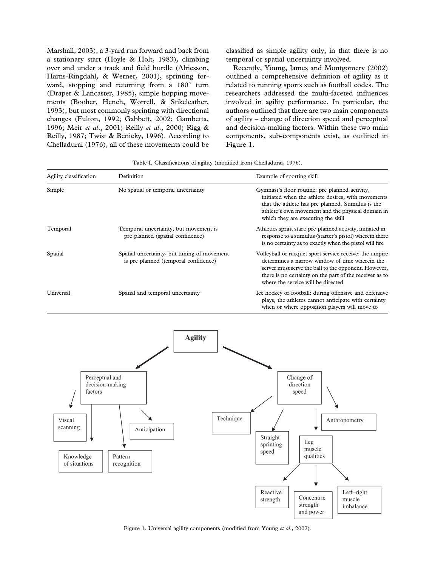Marshall, 2003), a 3-yard run forward and back from a stationary start (Hoyle & Holt, 1983), climbing over and under a track and field hurdle (Alricsson, Harns-Ringdahl, & Werner, 2001), sprinting forward, stopping and returning from a  $180^\circ$  turn (Draper & Lancaster, 1985), simple hopping movements (Booher, Hench, Worrell, & Stikeleather, 1993), but most commonly sprinting with directional changes (Fulton, 1992; Gabbett, 2002; Gambetta, 1996; Meir et al., 2001; Reilly et al., 2000; Rigg & Reilly, 1987; Twist & Benicky, 1996). According to Chelladurai (1976), all of these movements could be

classified as simple agility only, in that there is no temporal or spatial uncertainty involved.

Recently, Young, James and Montgomery (2002) outlined a comprehensive definition of agility as it related to running sports such as football codes. The researchers addressed the multi-faceted influences involved in agility performance. In particular, the authors outlined that there are two main components of agility – change of direction speed and perceptual and decision-making factors. Within these two main components, sub-components exist, as outlined in Figure 1.

Table I. Classifications of agility (modified from Chelladurai, 1976).

| Agility classification | Definition                                                                          | Example of sporting skill                                                                                                                                                                                                                                          |
|------------------------|-------------------------------------------------------------------------------------|--------------------------------------------------------------------------------------------------------------------------------------------------------------------------------------------------------------------------------------------------------------------|
| Simple                 | No spatial or temporal uncertainty                                                  | Gymnast's floor routine: pre planned activity,<br>initiated when the athlete desires, with movements<br>that the athlete has pre planned. Stimulus is the<br>athlete's own movement and the physical domain in<br>which they are executing the skill               |
| Temporal               | Temporal uncertainty, but movement is<br>pre planned (spatial confidence)           | Athletics sprint start: pre planned activity, initiated in<br>response to a stimulus (starter's pistol) wherein there<br>is no certainty as to exactly when the pistol will fire                                                                                   |
| Spatial                | Spatial uncertainty, but timing of movement<br>is pre planned (temporal confidence) | Volleyball or racquet sport service receive: the umpire<br>determines a narrow window of time wherein the<br>server must serve the ball to the opponent. However,<br>there is no certainty on the part of the receiver as to<br>where the service will be directed |
| Universal              | Spatial and temporal uncertainty                                                    | Ice hockey or football: during offensive and defensive<br>plays, the athletes cannot anticipate with certainty<br>when or where opposition players will move to                                                                                                    |



Figure 1. Universal agility components (modified from Young et al., 2002).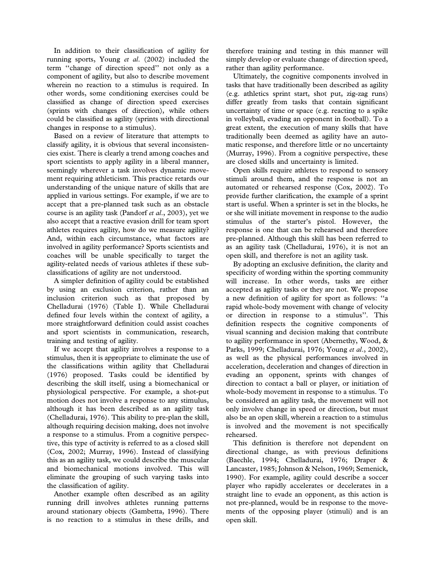In addition to their classification of agility for running sports, Young et al. (2002) included the term ''change of direction speed'' not only as a component of agility, but also to describe movement wherein no reaction to a stimulus is required. In other words, some conditioning exercises could be classified as change of direction speed exercises (sprints with changes of direction), while others could be classified as agility (sprints with directional changes in response to a stimulus).

Based on a review of literature that attempts to classify agility, it is obvious that several inconsistencies exist. There is clearly a trend among coaches and sport scientists to apply agility in a liberal manner, seemingly wherever a task involves dynamic movement requiring athleticism. This practice retards our understanding of the unique nature of skills that are applied in various settings. For example, if we are to accept that a pre-planned task such as an obstacle course is an agility task (Pandorf et al., 2003), yet we also accept that a reactive evasion drill for team sport athletes requires agility, how do we measure agility? And, within each circumstance, what factors are involved in agility performance? Sports scientists and coaches will be unable specifically to target the agility-related needs of various athletes if these subclassifications of agility are not understood.

A simpler definition of agility could be established by using an exclusion criterion, rather than an inclusion criterion such as that proposed by Chelladurai (1976) (Table I). While Chelladurai defined four levels within the context of agility, a more straightforward definition could assist coaches and sport scientists in communication, research, training and testing of agility.

If we accept that agility involves a response to a stimulus, then it is appropriate to eliminate the use of the classifications within agility that Chelladurai (1976) proposed. Tasks could be identified by describing the skill itself, using a biomechanical or physiological perspective. For example, a shot-put motion does not involve a response to any stimulus, although it has been described as an agility task (Chelladurai, 1976). This ability to pre-plan the skill, although requiring decision making, does not involve a response to a stimulus. From a cognitive perspective, this type of activity is referred to as a closed skill (Cox, 2002; Murray, 1996). Instead of classifying this as an agility task, we could describe the muscular and biomechanical motions involved. This will eliminate the grouping of such varying tasks into the classification of agility.

Another example often described as an agility running drill involves athletes running patterns around stationary objects (Gambetta, 1996). There is no reaction to a stimulus in these drills, and

therefore training and testing in this manner will simply develop or evaluate change of direction speed, rather than agility performance.

Ultimately, the cognitive components involved in tasks that have traditionally been described as agility (e.g. athletics sprint start, shot put, zig-zag runs) differ greatly from tasks that contain significant uncertainty of time or space (e.g. reacting to a spike in volleyball, evading an opponent in football). To a great extent, the execution of many skills that have traditionally been deemed as agility have an automatic response, and therefore little or no uncertainty (Murray, 1996). From a cognitive perspective, these are closed skills and uncertainty is limited.

Open skills require athletes to respond to sensory stimuli around them, and the response is not an automated or rehearsed response (Cox, 2002). To provide further clarification, the example of a sprint start is useful. When a sprinter is set in the blocks, he or she will initiate movement in response to the audio stimulus of the starter's pistol. However, the response is one that can be rehearsed and therefore pre-planned. Although this skill has been referred to as an agility task (Chelladurai, 1976), it is not an open skill, and therefore is not an agility task.

By adopting an exclusive definition, the clarity and specificity of wording within the sporting community will increase. In other words, tasks are either accepted as agility tasks or they are not. We propose a new definition of agility for sport as follows: ''a rapid whole-body movement with change of velocity or direction in response to a stimulus''. This definition respects the cognitive components of visual scanning and decision making that contribute to agility performance in sport (Abernethy, Wood, & Parks, 1999; Chelladurai, 1976; Young et al., 2002), as well as the physical performances involved in acceleration, deceleration and changes of direction in evading an opponent, sprints with changes of direction to contact a ball or player, or initiation of whole-body movement in response to a stimulus. To be considered an agility task, the movement will not only involve change in speed or direction, but must also be an open skill, wherein a reaction to a stimulus is involved and the movement is not specifically rehearsed.

This definition is therefore not dependent on directional change, as with previous definitions (Baechle, 1994; Chelladurai, 1976; Draper & Lancaster, 1985; Johnson & Nelson, 1969; Semenick, 1990). For example, agility could describe a soccer player who rapidly accelerates or decelerates in a straight line to evade an opponent, as this action is not pre-planned, would be in response to the movements of the opposing player (stimuli) and is an open skill.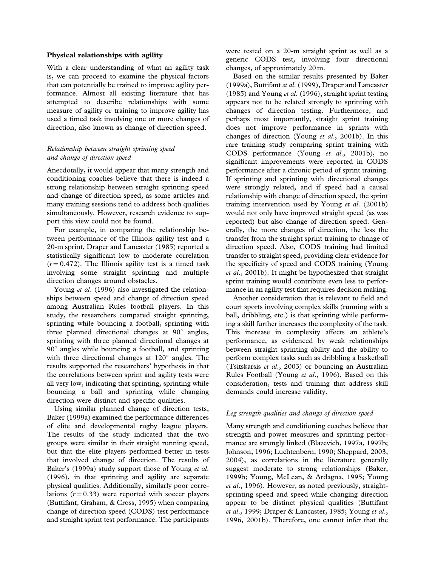#### Physical relationships with agility

With a clear understanding of what an agility task is, we can proceed to examine the physical factors that can potentially be trained to improve agility performance. Almost all existing literature that has attempted to describe relationships with some measure of agility or training to improve agility has used a timed task involving one or more changes of direction, also known as change of direction speed.

### Relationship between straight sprinting speed and change of direction speed

Anecdotally, it would appear that many strength and conditioning coaches believe that there is indeed a strong relationship between straight sprinting speed and change of direction speed, as some articles and many training sessions tend to address both qualities simultaneously. However, research evidence to support this view could not be found.

For example, in comparing the relationship between performance of the Illinois agility test and a 20-m sprint, Draper and Lancaster (1985) reported a statistically significant low to moderate correlation  $(r = 0.472)$ . The Illinois agility test is a timed task involving some straight sprinting and multiple direction changes around obstacles.

Young *et al.* (1996) also investigated the relationships between speed and change of direction speed among Australian Rules football players. In this study, the researchers compared straight sprinting, sprinting while bouncing a football, sprinting with three planned directional changes at  $90^\circ$  angles, sprinting with three planned directional changes at  $90^\circ$  angles while bouncing a football, and sprinting with three directional changes at  $120^\circ$  angles. The results supported the researchers' hypothesis in that the correlations between sprint and agility tests were all very low, indicating that sprinting, sprinting while bouncing a ball and sprinting while changing direction were distinct and specific qualities.

Using similar planned change of direction tests, Baker (1999a) examined the performance differences of elite and developmental rugby league players. The results of the study indicated that the two groups were similar in their straight running speed, but that the elite players performed better in tests that involved change of direction. The results of Baker's (1999a) study support those of Young et al. (1996), in that sprinting and agility are separate physical qualities. Additionally, similarly poor correlations  $(r = 0.33)$  were reported with soccer players (Buttifant, Graham, & Cross, 1995) when comparing change of direction speed (CODS) test performance and straight sprint test performance. The participants

were tested on a 20-m straight sprint as well as a generic CODS test, involving four directional changes, of approximately 20 m.

Based on the similar results presented by Baker (1999a), Buttifant et al. (1999), Draper and Lancaster (1985) and Young et al. (1996), straight sprint testing appears not to be related strongly to sprinting with changes of direction testing. Furthermore, and perhaps most importantly, straight sprint training does not improve performance in sprints with changes of direction (Young et al., 2001b). In this rare training study comparing sprint training with CODS performance (Young et al., 2001b), no significant improvements were reported in CODS performance after a chronic period of sprint training. If sprinting and sprinting with directional changes were strongly related, and if speed had a causal relationship with change of direction speed, the sprint training intervention used by Young et al. (2001b) would not only have improved straight speed (as was reported) but also change of direction speed. Generally, the more changes of direction, the less the transfer from the straight sprint training to change of direction speed. Also, CODS training had limited transfer to straight speed, providing clear evidence for the specificity of speed and CODS training (Young et al., 2001b). It might be hypothesized that straight sprint training would contribute even less to performance in an agility test that requires decision making.

Another consideration that is relevant to field and court sports involving complex skills (running with a ball, dribbling, etc.) is that sprinting while performing a skill further increases the complexity of the task. This increase in complexity affects an athlete's performance, as evidenced by weak relationships between straight sprinting ability and the ability to perform complex tasks such as dribbling a basketball (Tsitskarsis et al., 2003) or bouncing an Australian Rules Football (Young *et al.*, 1996). Based on this consideration, tests and training that address skill demands could increase validity.

### Leg strength qualities and change of direction speed

Many strength and conditioning coaches believe that strength and power measures and sprinting performance are strongly linked (Blazevich, 1997a, 1997b; Johnson, 1996; Luchtenbern, 1990; Sheppard, 2003, 2004), as correlations in the literature generally suggest moderate to strong relationships (Baker, 1999b; Young, McLean, & Ardagna, 1995; Young et al., 1996). However, as noted previously, straightsprinting speed and speed while changing direction appear to be distinct physical qualities (Buttifant et al., 1999; Draper & Lancaster, 1985; Young et al., 1996, 2001b). Therefore, one cannot infer that the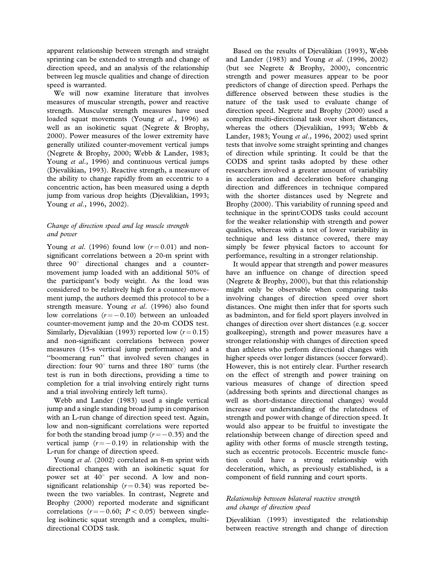apparent relationship between strength and straight sprinting can be extended to strength and change of direction speed, and an analysis of the relationship between leg muscle qualities and change of direction speed is warranted.

We will now examine literature that involves measures of muscular strength, power and reactive strength. Muscular strength measures have used loaded squat movements (Young et al., 1996) as well as an isokinetic squat (Negrete & Brophy, 2000). Power measures of the lower extremity have generally utilized counter-movement vertical jumps (Negrete & Brophy, 2000; Webb & Lander, 1983; Young *et al.*, 1996) and continuous vertical jumps (Djevalikian, 1993). Reactive strength, a measure of the ability to change rapidly from an eccentric to a concentric action, has been measured using a depth jump from various drop heights (Djevalikian, 1993; Young et al., 1996, 2002).

## Change of direction speed and leg muscle strength and power

Young *et al.* (1996) found low  $(r=0.01)$  and nonsignificant correlations between a 20-m sprint with three  $90^\circ$  directional changes and a countermovement jump loaded with an additional 50% of the participant's body weight. As the load was considered to be relatively high for a counter-movement jump, the authors deemed this protocol to be a strength measure. Young et al. (1996) also found low correlations  $(r = -0.10)$  between an unloaded counter-movement jump and the 20-m CODS test. Similarly, Djevalikian (1993) reported low  $(r = 0.15)$ and non-significant correlations between power measures (15-s vertical jump performance) and a ''boomerang run'' that involved seven changes in direction: four  $90^\circ$  turns and three  $180^\circ$  turns (the test is run in both directions, providing a time to completion for a trial involving entirely right turns and a trial involving entirely left turns).

Webb and Lander (1983) used a single vertical jump and a single standing broad jump in comparison with an L-run change of direction speed test. Again, low and non-significant correlations were reported for both the standing broad jump  $(r = -0.35)$  and the vertical jump  $(r = -0.19)$  in relationship with the L-run for change of direction speed.

Young *et al.* (2002) correlated an 8-m sprint with directional changes with an isokinetic squat for power set at  $40^{\circ}$  per second. A low and nonsignificant relationship  $(r = 0.34)$  was reported between the two variables. In contrast, Negrete and Brophy (2000) reported moderate and significant correlations  $(r = -0.60; P < 0.05)$  between singleleg isokinetic squat strength and a complex, multidirectional CODS task.

Based on the results of Djevalikian (1993), Webb and Lander (1983) and Young et al. (1996, 2002) (but see Negrete & Brophy, 2000), concentric strength and power measures appear to be poor predictors of change of direction speed. Perhaps the difference observed between these studies is the nature of the task used to evaluate change of direction speed. Negrete and Brophy (2000) used a complex multi-directional task over short distances, whereas the others (Djevalikian, 1993; Webb & Lander, 1983; Young et al., 1996, 2002) used sprint tests that involve some straight sprinting and changes of direction while sprinting. It could be that the CODS and sprint tasks adopted by these other researchers involved a greater amount of variability in acceleration and deceleration before changing direction and differences in technique compared with the shorter distances used by Negrete and Brophy (2000). This variability of running speed and technique in the sprint/CODS tasks could account for the weaker relationship with strength and power qualities, whereas with a test of lower variability in technique and less distance covered, there may simply be fewer physical factors to account for performance, resulting in a stronger relationship.

It would appear that strength and power measures have an influence on change of direction speed (Negrete & Brophy, 2000), but that this relationship might only be observable when comparing tasks involving changes of direction speed over short distances. One might then infer that for sports such as badminton, and for field sport players involved in changes of direction over short distances (e.g. soccer goalkeeping), strength and power measures have a stronger relationship with changes of direction speed than athletes who perform directional changes with higher speeds over longer distances (soccer forward). However, this is not entirely clear. Further research on the effect of strength and power training on various measures of change of direction speed (addressing both sprints and directional changes as well as short-distance directional changes) would increase our understanding of the relatedness of strength and power with change of direction speed. It would also appear to be fruitful to investigate the relationship between change of direction speed and agility with other forms of muscle strength testing, such as eccentric protocols. Eccentric muscle function could have a strong relationship with deceleration, which, as previously established, is a component of field running and court sports.

## Relationship between bilateral reactive strength and change of direction speed

Djevalikian (1993) investigated the relationship between reactive strength and change of direction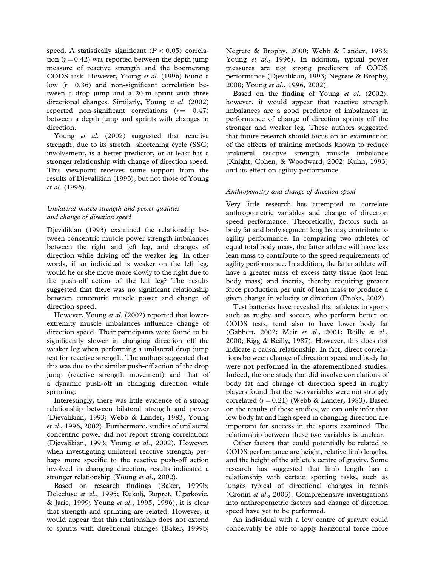speed. A statistically significant  $(P < 0.05)$  correlation  $(r = 0.42)$  was reported between the depth jump measure of reactive strength and the boomerang CODS task. However, Young et al. (1996) found a low  $(r = 0.36)$  and non-significant correlation between a drop jump and a 20-m sprint with three directional changes. Similarly, Young et al. (2002) reported non-significant correlations  $(r = -0.47)$ between a depth jump and sprints with changes in direction.

Young et al. (2002) suggested that reactive strength, due to its stretch – shortening cycle (SSC) involvement, is a better predictor, or at least has a stronger relationship with change of direction speed. This viewpoint receives some support from the results of Djevalikian (1993), but not those of Young et al. (1996).

## Unilateral muscle strength and power qualities and change of direction speed

Djevalikian (1993) examined the relationship between concentric muscle power strength imbalances between the right and left leg, and changes of direction while driving off the weaker leg. In other words, if an individual is weaker on the left leg, would he or she move more slowly to the right due to the push-off action of the left leg? The results suggested that there was no significant relationship between concentric muscle power and change of direction speed.

However, Young et al. (2002) reported that lowerextremity muscle imbalances influence change of direction speed. Their participants were found to be significantly slower in changing direction off the weaker leg when performing a unilateral drop jump test for reactive strength. The authors suggested that this was due to the similar push-off action of the drop jump (reactive strength movement) and that of a dynamic push-off in changing direction while sprinting.

Interestingly, there was little evidence of a strong relationship between bilateral strength and power (Djevalikian, 1993; Webb & Lander, 1983; Young et al., 1996, 2002). Furthermore, studies of unilateral concentric power did not report strong correlations (Djevalikian, 1993; Young et al., 2002). However, when investigating unilateral reactive strength, perhaps more specific to the reactive push-off action involved in changing direction, results indicated a stronger relationship (Young et al., 2002).

Based on research findings (Baker, 1999b; Delecluse et al., 1995; Kukolj, Ropret, Ugarkovic, & Jaric, 1999; Young et al., 1995, 1996), it is clear that strength and sprinting are related. However, it would appear that this relationship does not extend to sprints with directional changes (Baker, 1999b; Negrete & Brophy, 2000; Webb & Lander, 1983; Young et al., 1996). In addition, typical power measures are not strong predictors of CODS performance (Djevalikian, 1993; Negrete & Brophy, 2000; Young et al., 1996, 2002).

Based on the finding of Young et al. (2002), however, it would appear that reactive strength imbalances are a good predictor of imbalances in performance of change of direction sprints off the stronger and weaker leg. These authors suggested that future research should focus on an examination of the effects of training methods known to reduce unilateral reactive strength muscle imbalance (Knight, Cohen, & Woodward, 2002; Kuhn, 1993) and its effect on agility performance.

### Anthropometry and change of direction speed

Very little research has attempted to correlate anthropometric variables and change of direction speed performance. Theoretically, factors such as body fat and body segment lengths may contribute to agility performance. In comparing two athletes of equal total body mass, the fatter athlete will have less lean mass to contribute to the speed requirements of agility performance. In addition, the fatter athlete will have a greater mass of excess fatty tissue (not lean body mass) and inertia, thereby requiring greater force production per unit of lean mass to produce a given change in velocity or direction (Enoka, 2002).

Test batteries have revealed that athletes in sports such as rugby and soccer, who perform better on CODS tests, tend also to have lower body fat (Gabbett, 2002; Meir et al., 2001; Reilly et al., 2000; Rigg & Reilly, 1987). However, this does not indicate a causal relationship. In fact, direct correlations between change of direction speed and body fat were not performed in the aforementioned studies. Indeed, the one study that did involve correlations of body fat and change of direction speed in rugby players found that the two variables were not strongly correlated  $(r = 0.21)$  (Webb & Lander, 1983). Based on the results of these studies, we can only infer that low body fat and high speed in changing direction are important for success in the sports examined. The relationship between these two variables is unclear.

Other factors that could potentially be related to CODS performance are height, relative limb lengths, and the height of the athlete's centre of gravity. Some research has suggested that limb length has a relationship with certain sporting tasks, such as lunges typical of directional changes in tennis (Cronin et al., 2003). Comprehensive investigations into anthropometric factors and change of direction speed have yet to be performed.

An individual with a low centre of gravity could conceivably be able to apply horizontal force more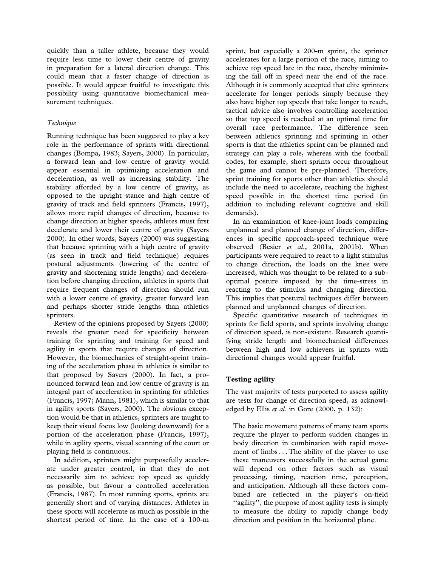quickly than a taller athlete, because they would require less time to lower their centre of gravity in preparation for a lateral direction change. This could mean that a faster change of direction is possible. It would appear fruitful to investigate this possibility using quantitative biomechanical measurement techniques.

## Technique

Running technique has been suggested to play a key role in the performance of sprints with directional changes (Bompa, 1983; Sayers, 2000). In particular, a forward lean and low centre of gravity would appear essential in optimizing acceleration and deceleration, as well as increasing stability. The stability afforded by a low centre of gravity, as opposed to the upright stance and high centre of gravity of track and field sprinters (Francis, 1997), allows more rapid changes of direction, because to change direction at higher speeds, athletes must first decelerate and lower their centre of gravity (Sayers 2000). In other words, Sayers (2000) was suggesting that because sprinting with a high centre of gravity (as seen in track and field technique) requires postural adjustments (lowering of the centre of gravity and shortening stride lengths) and deceleration before changing direction, athletes in sports that require frequent changes of direction should run with a lower centre of gravity, greater forward lean and perhaps shorter stride lengths than athletics sprinters.

Review of the opinions proposed by Sayers (2000) reveals the greater need for specificity between training for sprinting and training for speed and agility in sports that require changes of direction. However, the biomechanics of straight-sprint training of the acceleration phase in athletics is similar to that proposed by Sayers (2000). In fact, a pronounced forward lean and low centre of gravity is an integral part of acceleration in sprinting for athletics (Francis, 1997; Mann, 1981), which is similar to that in agility sports (Sayers, 2000). The obvious exception would be that in athletics, sprinters are taught to keep their visual focus low (looking downward) for a portion of the acceleration phase (Francis, 1997), while in agility sports, visual scanning of the court or playing field is continuous.

In addition, sprinters might purposefully accelerate under greater control, in that they do not necessarily aim to achieve top speed as quickly as possible, but favour a controlled acceleration (Francis, 1987). In most running sports, sprints are generally short and of varying distances. Athletes in these sports will accelerate as much as possible in the shortest period of time. In the case of a 100-m sprint, but especially a 200-m sprint, the sprinter accelerates for a large portion of the race, aiming to achieve top speed late in the race, thereby minimizing the fall off in speed near the end of the race. Although it is commonly accepted that elite sprinters accelerate for longer periods simply because they also have higher top speeds that take longer to reach, tactical advice also involves controlling acceleration so that top speed is reached at an optimal time for overall race performance. The difference seen between athletics sprinting and sprinting in other sports is that the athletics sprint can be planned and strategy can play a role, whereas with the football codes, for example, short sprints occur throughout the game and cannot be pre-planned. Therefore, sprint training for sports other than athletics should include the need to accelerate, reaching the highest speed possible in the shortest time period (in addition to including relevant cognitive and skill demands).

In an examination of knee-joint loads comparing unplanned and planned change of direction, differences in specific approach-speed technique were observed (Besier et al., 2001a, 2001b). When participants were required to react to a light stimulus to change direction, the loads on the knee were increased, which was thought to be related to a suboptimal posture imposed by the time-stress in reacting to the stimulus and changing direction. This implies that postural techniques differ between planned and unplanned changes of direction.

Specific quantitative research of techniques in sprints for field sports, and sprints involving change of direction speed, is non-existent. Research quantifying stride length and biomechanical differences between high and low achievers in sprints with directional changes would appear fruitful.

## Testing agility

The vast majority of tests purported to assess agility are tests for change of direction speed, as acknowledged by Ellis et al. in Gore  $(2000, p. 132)$ :

The basic movement patterns of many team sports require the player to perform sudden changes in body direction in combination with rapid movement of limbs ... The ability of the player to use these maneuvers successfully in the actual game will depend on other factors such as visual processing, timing, reaction time, perception, and anticipation. Although all these factors combined are reflected in the player's on-field ''agility'', the purpose of most agility tests is simply to measure the ability to rapidly change body direction and position in the horizontal plane.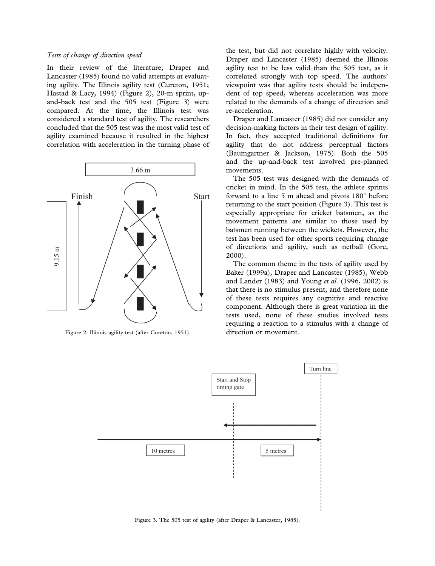#### Tests of change of direction speed

In their review of the literature, Draper and Lancaster (1985) found no valid attempts at evaluating agility. The Illinois agility test (Cureton, 1951; Hastad & Lacy, 1994) (Figure 2), 20-m sprint, upand-back test and the 505 test (Figure 3) were compared. At the time, the Illinois test was considered a standard test of agility. The researchers concluded that the 505 test was the most valid test of agility examined because it resulted in the highest correlation with acceleration in the turning phase of



Figure 2. Illinois agility test (after Cureton, 1951). direction or movement.

the test, but did not correlate highly with velocity. Draper and Lancaster (1985) deemed the Illinois agility test to be less valid than the 505 test, as it correlated strongly with top speed. The authors' viewpoint was that agility tests should be independent of top speed, whereas acceleration was more related to the demands of a change of direction and re-acceleration.

Draper and Lancaster (1985) did not consider any decision-making factors in their test design of agility. In fact, they accepted traditional definitions for agility that do not address perceptual factors (Baumgartner & Jackson, 1975). Both the 505 and the up-and-back test involved pre-planned movements.

The 505 test was designed with the demands of cricket in mind. In the 505 test, the athlete sprints forward to a line 5 m ahead and pivots  $180^\circ$  before returning to the start position (Figure 3). This test is especially appropriate for cricket batsmen, as the movement patterns are similar to those used by batsmen running between the wickets. However, the test has been used for other sports requiring change of directions and agility, such as netball (Gore, 2000).

The common theme in the tests of agility used by Baker (1999a), Draper and Lancaster (1985), Webb and Lander (1983) and Young *et al.* (1996, 2002) is that there is no stimulus present, and therefore none of these tests requires any cognitive and reactive component. Although there is great variation in the tests used, none of these studies involved tests requiring a reaction to a stimulus with a change of



Figure 3. The 505 test of agility (after Draper & Lancaster, 1985).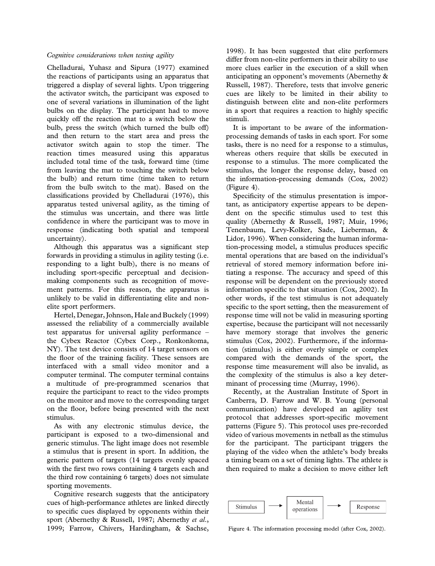#### Cognitive considerations when testing agility

Chelladurai, Yuhasz and Sipura (1977) examined the reactions of participants using an apparatus that triggered a display of several lights. Upon triggering the activator switch, the participant was exposed to one of several variations in illumination of the light bulbs on the display. The participant had to move quickly off the reaction mat to a switch below the bulb, press the switch (which turned the bulb off) and then return to the start area and press the activator switch again to stop the timer. The reaction times measured using this apparatus included total time of the task, forward time (time from leaving the mat to touching the switch below the bulb) and return time (time taken to return from the bulb switch to the mat). Based on the classifications provided by Chelladurai (1976), this apparatus tested universal agility, as the timing of the stimulus was uncertain, and there was little confidence in where the participant was to move in response (indicating both spatial and temporal uncertainty).

Although this apparatus was a significant step forwards in providing a stimulus in agility testing (i.e. responding to a light bulb), there is no means of including sport-specific perceptual and decisionmaking components such as recognition of movement patterns. For this reason, the apparatus is unlikely to be valid in differentiating elite and nonelite sport performers.

Hertel, Denegar, Johnson, Hale and Buckely (1999) assessed the reliability of a commercially available test apparatus for universal agility performance – the Cybex Reactor (Cybex Corp., Ronkonkoma, NY). The test device consists of 14 target sensors on the floor of the training facility. These sensors are interfaced with a small video monitor and a computer terminal. The computer terminal contains a multitude of pre-programmed scenarios that require the participant to react to the video prompts on the monitor and move to the corresponding target on the floor, before being presented with the next stimulus.

As with any electronic stimulus device, the participant is exposed to a two-dimensional and generic stimulus. The light image does not resemble a stimulus that is present in sport. In addition, the generic pattern of targets (14 targets evenly spaced with the first two rows containing 4 targets each and the third row containing 6 targets) does not simulate sporting movements.

Cognitive research suggests that the anticipatory cues of high-performance athletes are linked directly to specific cues displayed by opponents within their sport (Abernethy & Russell, 1987; Abernethy et al., 1999; Farrow, Chivers, Hardingham, & Sachse, 1998). It has been suggested that elite performers differ from non-elite performers in their ability to use more clues earlier in the execution of a skill when anticipating an opponent's movements (Abernethy & Russell, 1987). Therefore, tests that involve generic cues are likely to be limited in their ability to distinguish between elite and non-elite performers in a sport that requires a reaction to highly specific stimuli.

It is important to be aware of the informationprocessing demands of tasks in each sport. For some tasks, there is no need for a response to a stimulus, whereas others require that skills be executed in response to a stimulus. The more complicated the stimulus, the longer the response delay, based on the information-processing demands (Cox, 2002) (Figure 4).

Specificity of the stimulus presentation is important, as anticipatory expertise appears to be dependent on the specific stimulus used to test this quality (Abernethy & Russell, 1987; Muir, 1996; Tenenbaum, Levy-Kolker, Sade, Lieberman, & Lidor, 1996). When considering the human information-processing model, a stimulus produces specific mental operations that are based on the individual's retrieval of stored memory information before initiating a response. The accuracy and speed of this response will be dependent on the previously stored information specific to that situation (Cox, 2002). In other words, if the test stimulus is not adequately specific to the sport setting, then the measurement of response time will not be valid in measuring sporting expertise, because the participant will not necessarily have memory storage that involves the generic stimulus (Cox, 2002). Furthermore, if the information (stimulus) is either overly simple or complex compared with the demands of the sport, the response time measurement will also be invalid, as the complexity of the stimulus is also a key determinant of processing time (Murray, 1996).

Recently, at the Australian Institute of Sport in Canberra, D. Farrow and W. B. Young (personal communication) have developed an agility test protocol that addresses sport-specific movement patterns (Figure 5). This protocol uses pre-recorded video of various movements in netball as the stimulus for the participant. The participant triggers the playing of the video when the athlete's body breaks a timing beam on a set of timing lights. The athlete is then required to make a decision to move either left



Figure 4. The information processing model (after Cox, 2002).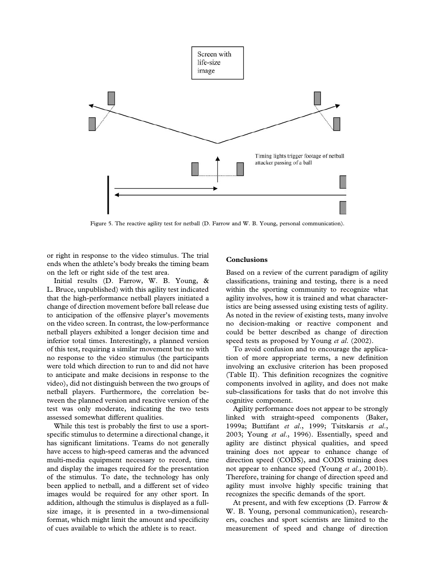

Figure 5. The reactive agility test for netball (D. Farrow and W. B. Young, personal communication).

or right in response to the video stimulus. The trial ends when the athlete's body breaks the timing beam on the left or right side of the test area.

Initial results (D. Farrow, W. B. Young, & L. Bruce, unpublished) with this agility test indicated that the high-performance netball players initiated a change of direction movement before ball release due to anticipation of the offensive player's movements on the video screen. In contrast, the low-performance netball players exhibited a longer decision time and inferior total times. Interestingly, a planned version of this test, requiring a similar movement but no with no response to the video stimulus (the participants were told which direction to run to and did not have to anticipate and make decisions in response to the video), did not distinguish between the two groups of netball players. Furthermore, the correlation between the planned version and reactive version of the test was only moderate, indicating the two tests assessed somewhat different qualities.

While this test is probably the first to use a sportspecific stimulus to determine a directional change, it has significant limitations. Teams do not generally have access to high-speed cameras and the advanced multi-media equipment necessary to record, time and display the images required for the presentation of the stimulus. To date, the technology has only been applied to netball, and a different set of video images would be required for any other sport. In addition, although the stimulus is displayed as a fullsize image, it is presented in a two-dimensional format, which might limit the amount and specificity of cues available to which the athlete is to react.

#### **Conclusions**

Based on a review of the current paradigm of agility classifications, training and testing, there is a need within the sporting community to recognize what agility involves, how it is trained and what characteristics are being assessed using existing tests of agility. As noted in the review of existing tests, many involve no decision-making or reactive component and could be better described as change of direction speed tests as proposed by Young et al. (2002).

To avoid confusion and to encourage the application of more appropriate terms, a new definition involving an exclusive criterion has been proposed (Table II). This definition recognizes the cognitive components involved in agility, and does not make sub-classifications for tasks that do not involve this cognitive component.

Agility performance does not appear to be strongly linked with straight-speed components (Baker, 1999a; Buttifant et al., 1999; Tsitskarsis et al., 2003; Young et al., 1996). Essentially, speed and agility are distinct physical qualities, and speed training does not appear to enhance change of direction speed (CODS), and CODS training does not appear to enhance speed (Young et al., 2001b). Therefore, training for change of direction speed and agility must involve highly specific training that recognizes the specific demands of the sport.

At present, and with few exceptions (D. Farrow & W. B. Young, personal communication), researchers, coaches and sport scientists are limited to the measurement of speed and change of direction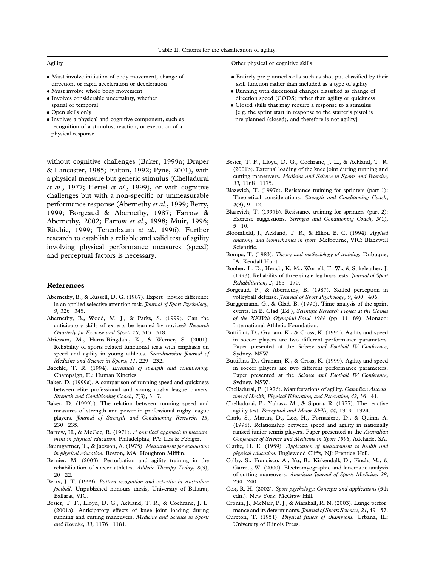Table II. Criteria for the classification of agility.

| Agility                                                                                                                                                                                                                                                                                                                                                                               | Other physical or cognitive skills                                                                                                                                                                                                                                                                                                                                                                                                           |
|---------------------------------------------------------------------------------------------------------------------------------------------------------------------------------------------------------------------------------------------------------------------------------------------------------------------------------------------------------------------------------------|----------------------------------------------------------------------------------------------------------------------------------------------------------------------------------------------------------------------------------------------------------------------------------------------------------------------------------------------------------------------------------------------------------------------------------------------|
| • Must involve initiation of body movement, change of<br>direction, or rapid acceleration or deceleration<br>• Must involve whole body movement<br>• Involves considerable uncertainty, whether<br>spatial or temporal<br>• Open skills only<br>• Involves a physical and cognitive component, such as<br>recognition of a stimulus, reaction, or execution of a<br>physical response | • Entirely pre planned skills such as shot put classified by their<br>skill function rather than included as a type of agility<br>• Running with directional changes classified as change of<br>direction speed (CODS) rather than agility or quickness<br>• Closed skills that may require a response to a stimulus<br>[e.g. the sprint start in response to the starter's pistol is<br>pre planned (closed), and therefore is not agility] |

without cognitive challenges (Baker, 1999a; Draper & Lancaster, 1985; Fulton, 1992; Pyne, 2001), with a physical measure but generic stimulus (Chelladurai et al., 1977; Hertel et al., 1999), or with cognitive challenges but with a non-specific or unmeasurable performance response (Abernethy et al., 1999; Berry, 1999; Borgeaud & Abernethy, 1987; Farrow & Abernethy, 2002; Farrow et al., 1998; Muir, 1996; Ritchie, 1999; Tenenbaum et al., 1996). Further research to establish a reliable and valid test of agility involving physical performance measures (speed) and perceptual factors is necessary.

#### References

- Abernethy, B., & Russell, D. G. (1987). Expert novice difference in an applied selective attention task. Journal of Sport Psychology, 9, 326 345.
- Abernethy, B., Wood, M. J., & Parks, S. (1999). Can the anticipatory skills of experts be learned by novices? Research Quarterly for Exercise and Sport, 70, 313 318.
- Alricsson, M., Harns Ringdahl, K., & Werner, S. (2001). Reliability of sports related functional tests with emphasis on speed and agility in young athletes. Scandinavian Journal of Medicine and Science in Sports, 11, 229 232.
- Baechle, T. R. (1994). Essentials of strength and conditioning. Champaign, IL: Human Kinetics.
- Baker, D. (1999a). A comparison of running speed and quickness between elite professional and young rugby league players. Strength and Conditioning Coach, 7(3), 3 7.
- Baker, D. (1999b). The relation between running speed and measures of strength and power in professional rugby league players. Journal of Strength and Conditioning Research, 13, 230 235.
- Barrow, H., & McGee, R. (1971). A practical approach to measure ment in physical education. Philadelphia, PA: Lea & Febiger.
- Baumgartner, T., & Jackson, A. (1975). Measurement for evaluation in physical education. Boston, MA: Houghton Mifflin.
- Bernier, M. (2003). Perturbation and agility training in the rehabilitation of soccer athletes. Athletic Therapy Today, 8(3), 20 22.
- Berry, J. T. (1999). Pattern recognition and expertise in Australian football. Unpublished honours thesis, University of Ballarat, Ballarat, VIC.
- Besier, T. F., Lloyd, D. G., Ackland, T. R., & Cochrane, J. L. (2001a). Anticipatory effects of knee joint loading during running and cutting maneuvers. Medicine and Science in Sports and Exercise, 33, 1176 1181.
- Besier, T. F., Lloyd, D. G., Cochrane, J. L., & Ackland, T. R. (2001b). External loading of the knee joint during running and cutting maneuvers. Medicine and Science in Sports and Exercise, 33, 1168 1175.
- Blazevich, T. (1997a). Resistance training for sprinters (part 1): Theoretical considerations. Strength and Conditioning Coach, 4(3), 9 12.
- Blazevich, T. (1997b). Resistance training for sprinters (part 2): Exercise suggestions. Strength and Conditioning Coach, 5(1), 5 10.
- Bloomfield, J., Ackland, T. R., & Elliot, B. C. (1994). Applied anatomy and biomechanics in sport. Melbourne, VIC: Blackwell Scientific.
- Bompa, T. (1983). Theory and methodology of training. Dubuque, IA: Kendall Hunt.
- Booher, L. D., Hench, K. M., Worrell, T. W., & Stikeleather, J. (1993). Reliability of three single leg hops tests. *Journal of Sport* Rehabilitation, 2, 165 170.
- Borgeaud, P., & Abernethy, B. (1987). Skilled perception in volleyball defense. Journal of Sport Psychology, 9, 400 406.
- Burggemann, G., & Glad, B. (1990). Time analysis of the sprint events. In B. Glad (Ed.), Scientific Research Project at the Games of the XXIVth Olympiad Seoul 1988 (pp. 11 89). Monaco: International Athletic Foundation.
- Buttifant, D., Graham, K., & Cross, K. (1995). Agility and speed in soccer players are two different performance parameters. Paper presented at the Science and Football IV Conference, Sydney, NSW.
- Buttifant, D., Graham, K., & Cross, K. (1999). Agility and speed in soccer players are two different performance parameters. Paper presented at the Science and Football IV Conference, Sydney, NSW.
- Chelladurai, P. (1976). Manifestations of agility. Canadian Associa tion of Health, Physical Education, and Recreation, 42, 36 41.
- Chelladurai, P., Yuhasz, M., & Sipura, R. (1977). The reactive agility test. Perceptual and Motor Skills, 44, 1319 1324.
- Clark, S., Martin, D., Lee, H., Fornasiero, D., & Quinn, A. (1998). Relationship between speed and agility in nationally ranked junior tennis players. Paper presented at the Australian Conference of Science and Medicine in Sport 1998, Adelaide, SA.
- Clarke, H. E. (1959). Application of measurement to health and physical education. Englewood Cliffs, NJ: Prentice Hall.
- Colby, S., Francisco, A., Yu, B., Kirkendall, D., Finch, M., & Garrett, W. (2000). Electromyographic and kinematic analysis of cutting maneuvers. American Journal of Sports Medicine, 28, 234 240.
- Cox, R. H. (2002). Sport psychology: Concepts and applications (5th edn.). New York: McGraw Hill.
- Cronin, J., McNair, P. J., & Marshall, R. N. (2003). Lunge perfor mance and its determinants. *Journal of Sports Sciences*, 21, 49 57.
- Cureton, T. (1951). Physical fitness of champions. Urbana, IL: University of Illinois Press.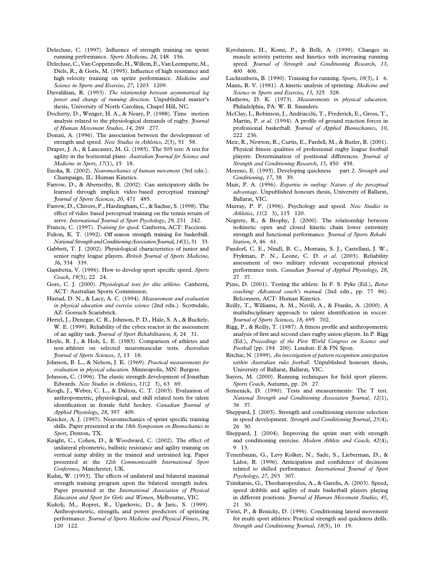Delecluse, C. (1997). Influence of strength training on sprint running performance. Sports Medicine, 24, 148 156.

- Delecluse, C., Van Coppennolle,H.,Willem, E., Van Leemputte,M., Diels, R., & Goris, M. (1995). Influence of high resistance and high velocity training on sprint performance. Medicine and Science in Sports and Exercise, 27, 1203 1209.
- Djevalikian, R. (1993). The relationship between asymmetrical leg power and change of running direction. Unpublished master's thesis, University of North Carolina, Chapel Hill, NC.
- Docherty, D., Wenger, H. A., & Neary, P. (1988). Time motion analysis related to the physiological demands of rugby. *Journal* of Human Movement Studies, 14, 269 277.
- Donati, A. (1996). The association between the development of strength and speed. New Studies in Athletics, 2(3), 51 58.
- Draper, J. A., & Lancaster, M. G. (1985). The 505 test: A test for agility in the horizontal plane. Australian Journal for Science and Medicine in Sport, 17(1), 15 18.
- Enoka, R. (2002). Neuromechanics of human movement (3rd edn.). Champaign, IL: Human Kinetics.
- Farrow, D., & Abernethy, B. (2002). Can anticipatory skills be learned through implicit video based perceptual training? Journal of Sports Sciences, 20, 471 485.
- Farrow, D., Chivers, P., Hardingham, C., & Sachse, S. (1998). The effect of video based perceptual training on the tennis return of serve. International Journal of Sport Psychology, 29, 231 242.
- Francis, C. (1997). Training for speed. Canberra, ACT: Faccioni.
- Fulton, K. T. (1992). Off season strength training for basketball. National Strength andConditioning Association Journal, 14(1), 31 33.
- Gabbett, T. J. (2002). Physiological characteristics of junior and senior rugby league players. British Journal of Sports Medicine, 36, 334 339.
- Gambetta, V. (1996). How to develop sport specific speed. Sports Coach, 19(3), 22 24.
- Gore, C. J. (2000). Physiological tests for elite athletes. Canberra, ACT: Australian Sports Commission.
- Hastad, D. N., & Lacy, A. C. (1994). Measurement and evaluation in physical education and exercise science (2nd edn.). Scottsdale, AZ: Gorsuch Scarisbrick.
- Hertel, J., Denegar, C. R., Johnson, P. D., Hale, S. A., & Buckely, W. E. (1999). Reliability of the cybex reactor in the assessment of an agility task. Journal of Sport Rehabilitation, 8, 24 31.
- Hoyle, R. J., & Holt, L. E. (1983). Comparison of athletes and non athletes on selected neuromuscular tests. Australian Journal of Sports Sciences, 3, 13 18.
- Johnson, B. L., & Nelson, J. K. (1969). Practical measurements for evaluation in physical education. Minneapolis, MN: Burgess.
- Johnson, C. (1996). The elastic strength development of Jonathan Edwards. New Studies in Athletics, 11(2 3), 63 69.
- Keogh, J., Weber, C. L., & Dalton, C. T. (2003). Evaluation of anthropometric, physiological, and skill related tests for talent identification in female field hockey. Canadian Journal of Applied Physiology, 28, 397 409.
- Knicker, A. J. (1997). Neuromechanics of sprint specific training skills. Paper presented at the 18th Symposium on Biomechanics in Sport, Denton, TX.
- Knight, C., Cohen, D., & Woodward, C. (2002). The effect of unilateral plyometric, ballistic resistance and agility training on vertical jump ability in the trained and untrained leg. Paper presented at the 12th Commonwealth International Sport Conference, Manchester, UK.
- Kuhn, W. (1993). The effects of unilateral and bilateral maximal strength training program upon the bilateral strength index. Paper presented at the International Association of Physical Education and Sport for Girls and Women, Melbourne, VIC.
- Kukolj, M., Ropret, R., Ugarkovic, D., & Jaric, S. (1999). Anthropometric, strength, and power predictors of sprinting performance. Journal of Sports Medicine and Physical Fitness, 39, 120 122.
- Kyrolainen, H., Komi, P., & Belli, A. (1999). Changes in muscle activity patterns and kinetics with increasing running speed. Journal of Strength and Conditioning Research, 13, 400 406.
- Luchtenbern, B. (1990). Training for running. Sports, 10(3), 1 6.
- Mann, R. V. (1981). A kinetic analysis of sprinting. Medicine and Science in Sports and Exercise, 13, 325 328.
- Mathews, D. K. (1973). Measurements in physical education. Philadelphia, PA: W. B. Saunders.
- McClay, I., Robinson, J., Andriacchi, T., Frederick, E., Gross, T., Martin, P. et al. (1994). A profile of ground reaction forces in professional basketball. Journal of Applied Biomechanics, 10, 222 236.
- Meir, R., Newton, R., Curtis, E., Fardell, M., & Butler, B. (2001). Physical fitness qualities of professional rugby league football players: Determination of positional differences. *Journal of* Strength and Conditioning Research, 15, 450 458.
- Moreno, E. (1995). Developing quickness part 2. Strength and Conditioning, 17, 38 39.
- Muir, P. A. (1996). Expertise in surfing: Nature of the perceptual advantage. Unpublished honours thesis, University of Ballarat, Ballarat, VIC.
- Murray, P. F. (1996). Psychology and speed. New Studies in Athletics, 11(2 3), 115 120.
- Negrete, R., & Brophy, J. (2000). The relationship between isokinetic open and closed kinetic chain lower extremity strength and functional performance. *Journal of Sports Rehabi* litation, 9, 46 61.
- Pandorf, C. E., Nindl, B. C., Montain, S. J., Castellani, J. W., Frykman, P. N., Leone, C. D. et al. (2003). Reliability assessment of two military relevant occupational physical performance tests. Canadian Journal of Applied Physiology, 28, 27 37.
- Pyne, D. (2001). Testing the athlete. In F. S. Pyke (Ed.), Better coaching: Advanced coach's manual (2nd edn., pp. 77 86). Belconnen, ACT: Human Kinetics.
- Reilly, T., Williams, A. M., Nevill, A., & Franks, A. (2000). A multidisciplinary approach to talent identification in soccer. Journal of Sports Sciences, 18, 695 702.
- Rigg, P., & Reilly, T. (1987). A fitness profile and anthropometric analysis of first and second class rugby union players. In P. Rigg (Ed.), Proceedings of the First World Congress on Science and Football (pp. 194 200). London: E & FN Spon.
- Ritchie, N. (1999). An investigation of pattern recognition anticipation within Australian rules football. Unpublished honours thesis, University of Ballarat, Ballarat, VIC.
- Sayers, M. (2000). Running techniques for field sport players. Sports Coach, Autumn, pp. 26 27.
- Semenick, D. (1990). Tests and measurements: The T test. National Strength and Conditioning Association Journal, 12(1), 36 37.
- Sheppard, J. (2003). Strength and conditioning exercise selection in speed development. Strength and Conditioning Journal, 25(4), 26 30.
- Sheppard, J. (2004). Improving the sprint start with strength and conditioning exercise. Modern Athlete and Coach, 42(4), 9 13.
- Tenenbaum, G., Levy Kolker, N., Sade, S., Lieberman, D., & Lidor, R. (1996). Anticipation and confidence of decisions related to skilled performance. International Journal of Sport Psychology, 27, 293 307.
- Tsitskarsis, G., Theoharopoulus, A., & Garefis, A. (2003). Speed, speed dribble and agility of male basketball players playing in different positions. Journal of Human Movement Studies, 45, 21 30.
- Twist, P., & Benicky, D. (1996). Conditioning lateral movement for multi sport athletes: Practical strength and quickness drills. Strength and Conditioning Journal, 18(5), 10 19.